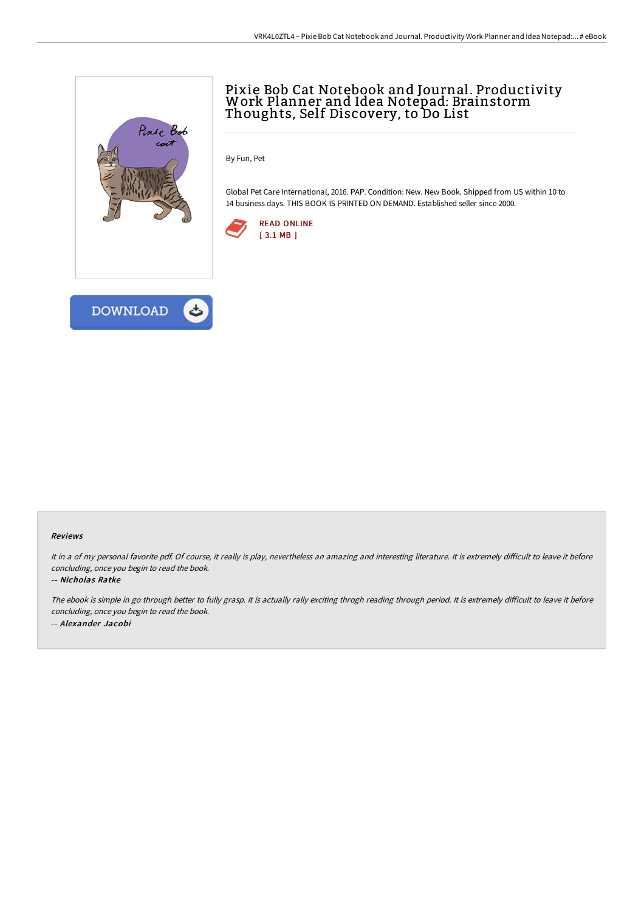

## Pixie Bob Cat Notebook and Journal. Productivity<br>Work Planner and Idea Notepad: Brainstorm Thoughts, Self Discovery, to Do List

By Fun, Pet

Global Pet Care International, 2016. PAP. Condition: New. New Book. Shipped from US within 10 to 14 business days. THIS BOOK IS PRINTED ON DEMAND. Established seller since 2000.





## Reviews

It in a of my personal favorite pdf. Of course, it really is play, nevertheless an amazing and interesting literature. It is extremely difficult to leave it before concluding, once you begin to read the book.

## -- Nicholas Ratke

The ebook is simple in go through better to fully grasp. It is actually rally exciting throgh reading through period. It is extremely difficult to leave it before concluding, once you begin to read the book. -- Alexander Jacobi